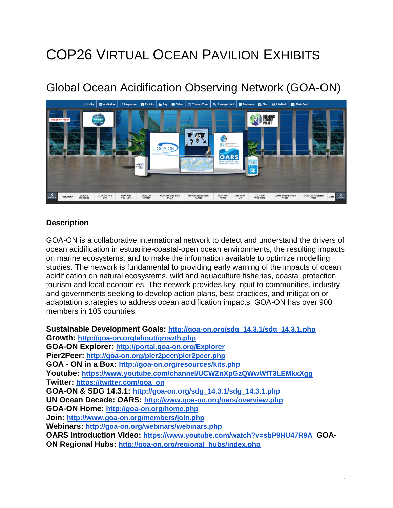# COP26 VIRTUAL OCEAN PAVILION EXHIBITS

# Global Ocean Acidification Observing Network (GOA-ON)



#### **Description**

GOA-ON is a collaborative international network to detect and understand the drivers of ocean acidification in estuarine-coastal-open ocean environments, the resulting impacts on marine ecosystems, and to make the information available to optimize modelling studies. The network is fundamental to providing early warning of the impacts of ocean acidification on natural ecosystems, wild and aquaculture fisheries, coastal protection, tourism and local economies. The network provides key input to communities, industry and governments seeking to develop action plans, best practices, and mitigation or adaptation strategies to address ocean acidification impacts. GOA-ON has over 900 members in 105 countries.

**Sustainable Development Goals: [http://goa-on.org/sdg\\_14.3.1/sdg\\_14.3.1.php](http://goa-on.org/sdg_14.3.1/sdg_14.3.1.php) Growth: <http://goa-on.org/about/growth.php> GOA-ON Explorer: <http://portal.goa-on.org/Explorer> Pier2Peer: <http://goa-on.org/pier2peer/pier2peer.php> GOA - ON in a Box: <http://goa-on.org/resources/kits.php> Youtube: <https://www.youtube.com/channel/UCWZnXpGzQWwWfT3LEMkxXgg> Twitter: [https://twitter.com/goa\\_on](https://twitter.com/goa_on) GOA-ON & SDG 14.3.1: [http://goa-on.org/sdg\\_14.3.1/sdg\\_14.3.1.php](http://goa-on.org/sdg_14.3.1/sdg_14.3.1.php) UN Ocean Decade: OARS: <http://www.goa-on.org/oars/overview.php> GOA-ON Home: <http://goa-on.org/home.php> Join: <http://www.goa-on.org/members/join.php> Webinars: <http://goa-on.org/webinars/webinars.php> OARS Introduction Video: <https://www.youtube.com/watch?v=sbP9HU47R9A>GOA-ON Regional Hubs: [http://goa-on.org/regional\\_hubs/index.php](http://goa-on.org/regional_hubs/index.php)**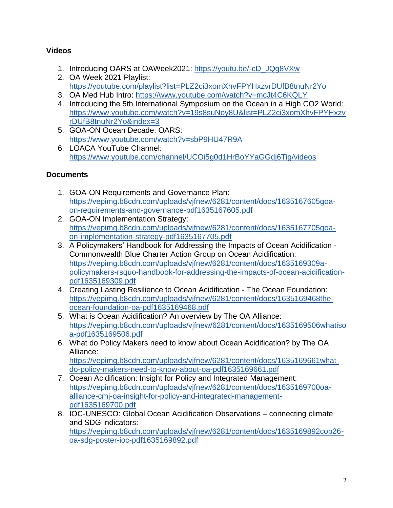## **Videos**

- 1. Introducing OARS at OAWeek2021: [https://youtu.be/-cD\\_JQg8VXw](https://youtu.be/-cD_JQg8VXw)
- 2. OA Week 2021 Playlist: <https://youtube.com/playlist?list=PLZ2ci3xomXhvFPYHxzvrDUfB8tnuNr2Yo>
- 3. OA Med Hub Intro: <https://www.youtube.com/watch?v=mcJt4C6KQLY>
- 4. Introducing the 5th International Symposium on the Ocean in a High CO2 World: [https://www.youtube.com/watch?v=19s8suNoy8U&list=PLZ2ci3xomXhvFPYHxzv](https://www.youtube.com/watch?v=19s8suNoy8U&list=PLZ2ci3xomXhvFPYHxzvrDUfB8tnuNr2Yo&index=3) [rDUfB8tnuNr2Yo&index=3](https://www.youtube.com/watch?v=19s8suNoy8U&list=PLZ2ci3xomXhvFPYHxzvrDUfB8tnuNr2Yo&index=3)
- 5. GOA-ON Ocean Decade: OARS: <https://www.youtube.com/watch?v=sbP9HU47R9A>
- 6. LOACA YouTube Channel: <https://www.youtube.com/channel/UCOi5g0d1HrBoYYaGGdj6Tig/videos>

### **Documents**

- 1. GOA-ON Requirements and Governance Plan: [https://vepimg.b8cdn.com/uploads/vjfnew/6281/content/docs/1635167605goa](https://vepimg.b8cdn.com/uploads/vjfnew/6281/content/docs/1635167605goa-on-requirements-and-governance-pdf1635167605.pdf)[on-requirements-and-governance-pdf1635167605.pdf](https://vepimg.b8cdn.com/uploads/vjfnew/6281/content/docs/1635167605goa-on-requirements-and-governance-pdf1635167605.pdf)
- 2. GOA-ON Implementation Strategy: [https://vepimg.b8cdn.com/uploads/vjfnew/6281/content/docs/1635167705goa](https://vepimg.b8cdn.com/uploads/vjfnew/6281/content/docs/1635167705goa-on-implementation-strategy-pdf1635167705.pdf)[on-implementation-strategy-pdf1635167705.pdf](https://vepimg.b8cdn.com/uploads/vjfnew/6281/content/docs/1635167705goa-on-implementation-strategy-pdf1635167705.pdf)
- 3. A Policymakers' Handbook for Addressing the Impacts of Ocean Acidification Commonwealth Blue Charter Action Group on Ocean Acidification: [https://vepimg.b8cdn.com/uploads/vjfnew/6281/content/docs/1635169309a](https://vepimg.b8cdn.com/uploads/vjfnew/6281/content/docs/1635169309a-policymakers-rsquo-handbook-for-addressing-the-impacts-of-ocean-acidification-pdf1635169309.pdf)[policymakers-rsquo-handbook-for-addressing-the-impacts-of-ocean-acidification](https://vepimg.b8cdn.com/uploads/vjfnew/6281/content/docs/1635169309a-policymakers-rsquo-handbook-for-addressing-the-impacts-of-ocean-acidification-pdf1635169309.pdf)[pdf1635169309.pdf](https://vepimg.b8cdn.com/uploads/vjfnew/6281/content/docs/1635169309a-policymakers-rsquo-handbook-for-addressing-the-impacts-of-ocean-acidification-pdf1635169309.pdf)
- 4. Creating Lasting Resilience to Ocean Acidification The Ocean Foundation: [https://vepimg.b8cdn.com/uploads/vjfnew/6281/content/docs/1635169468the](https://vepimg.b8cdn.com/uploads/vjfnew/6281/content/docs/1635169468the-ocean-foundation-oa-pdf1635169468.pdf)[ocean-foundation-oa-pdf1635169468.pdf](https://vepimg.b8cdn.com/uploads/vjfnew/6281/content/docs/1635169468the-ocean-foundation-oa-pdf1635169468.pdf)
- 5. What is Ocean Acidification? An overview by The OA Alliance: [https://vepimg.b8cdn.com/uploads/vjfnew/6281/content/docs/1635169506whatiso](https://vepimg.b8cdn.com/uploads/vjfnew/6281/content/docs/1635169506whatisoa-pdf1635169506.pdf) [a-pdf1635169506.pdf](https://vepimg.b8cdn.com/uploads/vjfnew/6281/content/docs/1635169506whatisoa-pdf1635169506.pdf)
- 6. What do Policy Makers need to know about Ocean Acidification? by The OA Alliance:

[https://vepimg.b8cdn.com/uploads/vjfnew/6281/content/docs/1635169661what](https://vepimg.b8cdn.com/uploads/vjfnew/6281/content/docs/1635169661what-do-policy-makers-need-to-know-about-oa-pdf1635169661.pdf)[do-policy-makers-need-to-know-about-oa-pdf1635169661.pdf](https://vepimg.b8cdn.com/uploads/vjfnew/6281/content/docs/1635169661what-do-policy-makers-need-to-know-about-oa-pdf1635169661.pdf)

- 7. Ocean Acidification: Insight for Policy and Integrated Management: [https://vepimg.b8cdn.com/uploads/vjfnew/6281/content/docs/1635169700oa](https://vepimg.b8cdn.com/uploads/vjfnew/6281/content/docs/1635169700oa-alliance-cmj-oa-insight-for-policy-and-integrated-management-pdf1635169700.pdf)[alliance-cmj-oa-insight-for-policy-and-integrated-management](https://vepimg.b8cdn.com/uploads/vjfnew/6281/content/docs/1635169700oa-alliance-cmj-oa-insight-for-policy-and-integrated-management-pdf1635169700.pdf)[pdf1635169700.pdf](https://vepimg.b8cdn.com/uploads/vjfnew/6281/content/docs/1635169700oa-alliance-cmj-oa-insight-for-policy-and-integrated-management-pdf1635169700.pdf)
- 8. **IOC-UNESCO: Global Ocean Acidification Observations connecting climate** and SDG indicators: [https://vepimg.b8cdn.com/uploads/vjfnew/6281/content/docs/1635169892cop26](https://vepimg.b8cdn.com/uploads/vjfnew/6281/content/docs/1635169892cop26-oa-sdg-poster-ioc-pdf1635169892.pdf) [oa-sdg-poster-ioc-pdf1635169892.pdf](https://vepimg.b8cdn.com/uploads/vjfnew/6281/content/docs/1635169892cop26-oa-sdg-poster-ioc-pdf1635169892.pdf)